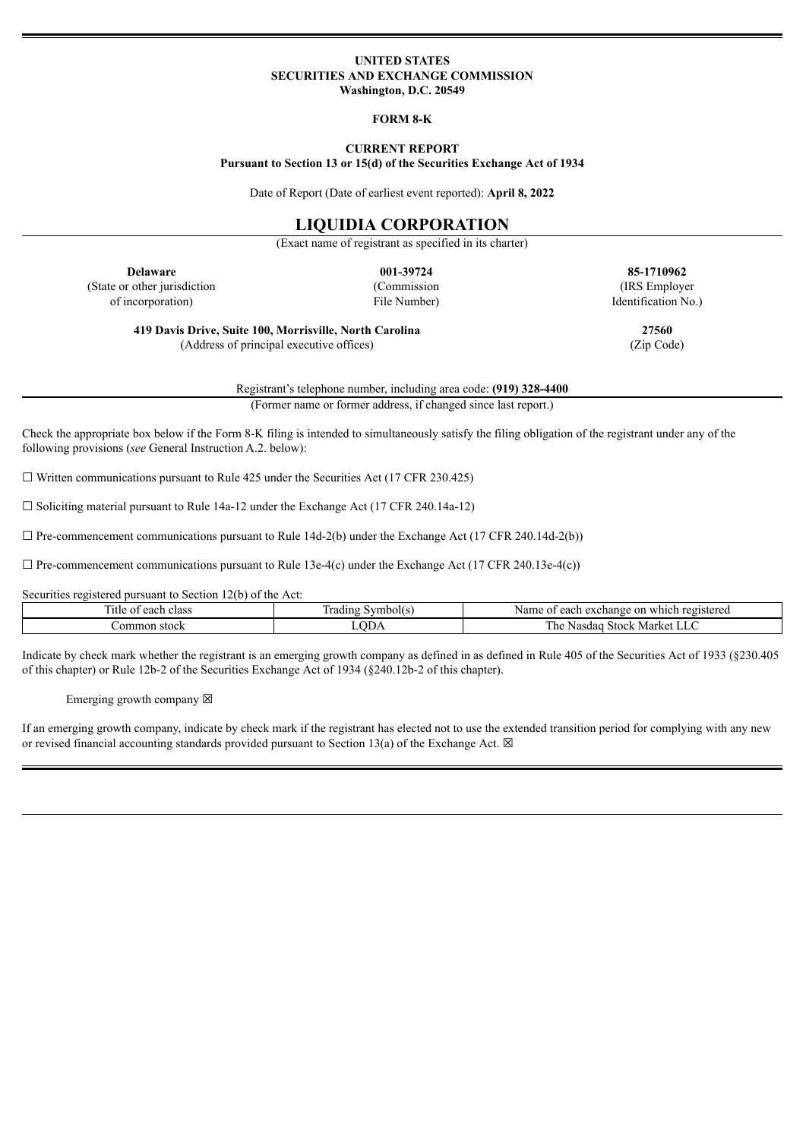### **UNITED STATES SECURITIES AND EXCHANGE COMMISSION Washington, D.C. 20549**

#### **FORM 8-K**

# **CURRENT REPORT**

**Pursuant to Section 13 or 15(d) of the Securities Exchange Act of 1934**

Date of Report (Date of earliest event reported): **April 8, 2022**

# **LIQUIDIA CORPORATION**

(Exact name of registrant as specified in its charter)

(State or other jurisdiction of incorporation)

(Commission File Number)

**Delaware 001-39724 85-1710962** (IRS Employer Identification No.)

**419 Davis Drive, Suite 100, Morrisville, North Carolina 27560** (Address of principal executive offices) (Zip Code)

Registrant's telephone number, including area code: **(919) 328-4400** (Former name or former address, if changed since last report.)

Check the appropriate box below if the Form 8-K filing is intended to simultaneously satisfy the filing obligation of the registrant under any of the following provisions (*see* General Instruction A.2. below):

 $\Box$  Written communications pursuant to Rule 425 under the Securities Act (17 CFR 230.425)

 $\Box$  Soliciting material pursuant to Rule 14a-12 under the Exchange Act (17 CFR 240.14a-12)

 $\Box$  Pre-commencement communications pursuant to Rule 14d-2(b) under the Exchange Act (17 CFR 240.14d-2(b))

 $\Box$  Pre-commencement communications pursuant to Rule 13e-4(c) under the Exchange Act (17 CFR 240.13e-4(c))

Securities registered pursuant to Section 12(b) of the Act:

| .itle<br>class<br>$ -$<br>each<br>V1. | rading<br>Symbol(s. | Name<br>on<br>registered<br>each exchange<br>which<br>$\mathbf{u}$ |
|---------------------------------------|---------------------|--------------------------------------------------------------------|
| .ommon<br>stock                       | <b>ODA</b>          | r he<br><b>Stock</b><br>Nasdag<br>Market LLC                       |

Indicate by check mark whether the registrant is an emerging growth company as defined in as defined in Rule 405 of the Securities Act of 1933 (§230.405 of this chapter) or Rule 12b-2 of the Securities Exchange Act of 1934 (§240.12b-2 of this chapter).

Emerging growth company  $\boxtimes$ 

If an emerging growth company, indicate by check mark if the registrant has elected not to use the extended transition period for complying with any new or revised financial accounting standards provided pursuant to Section 13(a) of the Exchange Act.  $\boxtimes$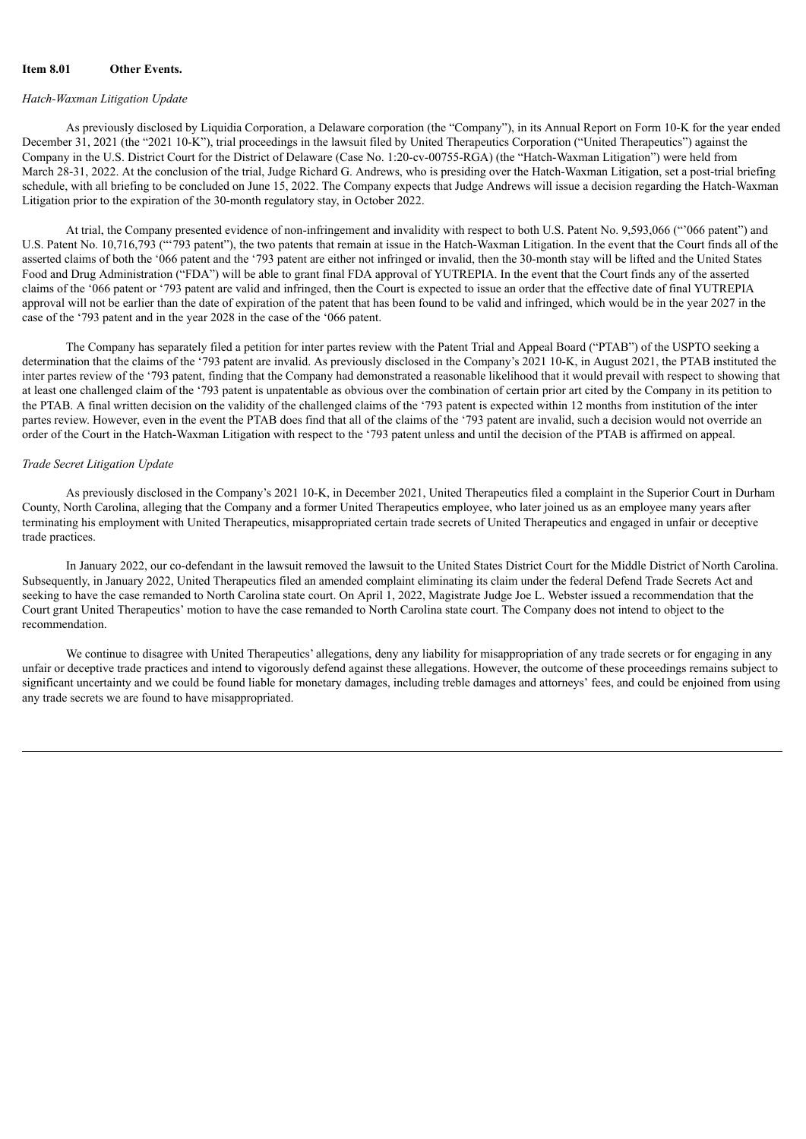## **Item 8.01 Other Events.**

## *Hatch-Waxman Litigation Update*

As previously disclosed by Liquidia Corporation, a Delaware corporation (the "Company"), in its Annual Report on Form 10-K for the year ended December 31, 2021 (the "2021 10-K"), trial proceedings in the lawsuit filed by United Therapeutics Corporation ("United Therapeutics") against the Company in the U.S. District Court for the District of Delaware (Case No. 1:20-cv-00755-RGA) (the "Hatch-Waxman Litigation") were held from March 28-31, 2022. At the conclusion of the trial, Judge Richard G. Andrews, who is presiding over the Hatch-Waxman Litigation, set a post-trial briefing schedule, with all briefing to be concluded on June 15, 2022. The Company expects that Judge Andrews will issue a decision regarding the Hatch-Waxman Litigation prior to the expiration of the 30-month regulatory stay, in October 2022.

At trial, the Company presented evidence of non-infringement and invalidity with respect to both U.S. Patent No. 9,593,066 ("'066 patent") and U.S. Patent No. 10,716,793 ("'793 patent"), the two patents that remain at issue in the Hatch-Waxman Litigation. In the event that the Court finds all of the asserted claims of both the '066 patent and the '793 patent are either not infringed or invalid, then the 30-month stay will be lifted and the United States Food and Drug Administration ("FDA") will be able to grant final FDA approval of YUTREPIA. In the event that the Court finds any of the asserted claims of the '066 patent or '793 patent are valid and infringed, then the Court is expected to issue an order that the effective date of final YUTREPIA approval will not be earlier than the date of expiration of the patent that has been found to be valid and infringed, which would be in the year 2027 in the case of the '793 patent and in the year 2028 in the case of the '066 patent.

The Company has separately filed a petition for inter partes review with the Patent Trial and Appeal Board ("PTAB") of the USPTO seeking a determination that the claims of the '793 patent are invalid. As previously disclosed in the Company's 2021 10-K, in August 2021, the PTAB instituted the inter partes review of the '793 patent, finding that the Company had demonstrated a reasonable likelihood that it would prevail with respect to showing that at least one challenged claim of the '793 patent is unpatentable as obvious over the combination of certain prior art cited by the Company in its petition to the PTAB. A final written decision on the validity of the challenged claims of the '793 patent is expected within 12 months from institution of the inter partes review. However, even in the event the PTAB does find that all of the claims of the '793 patent are invalid, such a decision would not override an order of the Court in the Hatch-Waxman Litigation with respect to the '793 patent unless and until the decision of the PTAB is affirmed on appeal.

#### *Trade Secret Litigation Update*

As previously disclosed in the Company's 2021 10-K, in December 2021, United Therapeutics filed a complaint in the Superior Court in Durham County, North Carolina, alleging that the Company and a former United Therapeutics employee, who later joined us as an employee many years after terminating his employment with United Therapeutics, misappropriated certain trade secrets of United Therapeutics and engaged in unfair or deceptive trade practices.

In January 2022, our co-defendant in the lawsuit removed the lawsuit to the United States District Court for the Middle District of North Carolina. Subsequently, in January 2022, United Therapeutics filed an amended complaint eliminating its claim under the federal Defend Trade Secrets Act and seeking to have the case remanded to North Carolina state court. On April 1, 2022, Magistrate Judge Joe L. Webster issued a recommendation that the Court grant United Therapeutics' motion to have the case remanded to North Carolina state court. The Company does not intend to object to the recommendation.

We continue to disagree with United Therapeutics' allegations, deny any liability for misappropriation of any trade secrets or for engaging in any unfair or deceptive trade practices and intend to vigorously defend against these allegations. However, the outcome of these proceedings remains subject to significant uncertainty and we could be found liable for monetary damages, including treble damages and attorneys' fees, and could be enjoined from using any trade secrets we are found to have misappropriated.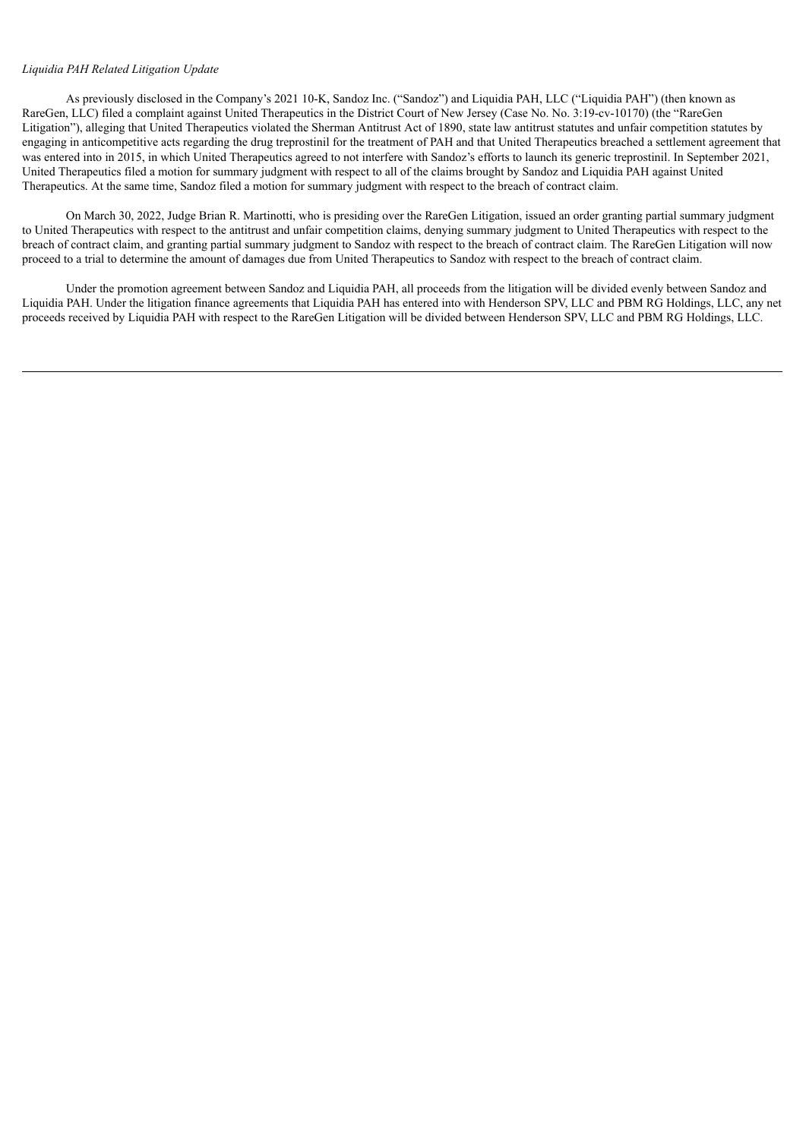#### *Liquidia PAH Related Litigation Update*

As previously disclosed in the Company's 2021 10-K, Sandoz Inc. ("Sandoz") and Liquidia PAH, LLC ("Liquidia PAH") (then known as RareGen, LLC) filed a complaint against United Therapeutics in the District Court of New Jersey (Case No. No. 3:19-cv-10170) (the "RareGen Litigation"), alleging that United Therapeutics violated the Sherman Antitrust Act of 1890, state law antitrust statutes and unfair competition statutes by engaging in anticompetitive acts regarding the drug treprostinil for the treatment of PAH and that United Therapeutics breached a settlement agreement that was entered into in 2015, in which United Therapeutics agreed to not interfere with Sandoz's efforts to launch its generic treprostinil. In September 2021, United Therapeutics filed a motion for summary judgment with respect to all of the claims brought by Sandoz and Liquidia PAH against United Therapeutics. At the same time, Sandoz filed a motion for summary judgment with respect to the breach of contract claim.

On March 30, 2022, Judge Brian R. Martinotti, who is presiding over the RareGen Litigation, issued an order granting partial summary judgment to United Therapeutics with respect to the antitrust and unfair competition claims, denying summary judgment to United Therapeutics with respect to the breach of contract claim, and granting partial summary judgment to Sandoz with respect to the breach of contract claim. The RareGen Litigation will now proceed to a trial to determine the amount of damages due from United Therapeutics to Sandoz with respect to the breach of contract claim.

Under the promotion agreement between Sandoz and Liquidia PAH, all proceeds from the litigation will be divided evenly between Sandoz and Liquidia PAH. Under the litigation finance agreements that Liquidia PAH has entered into with Henderson SPV, LLC and PBM RG Holdings, LLC, any net proceeds received by Liquidia PAH with respect to the RareGen Litigation will be divided between Henderson SPV, LLC and PBM RG Holdings, LLC.